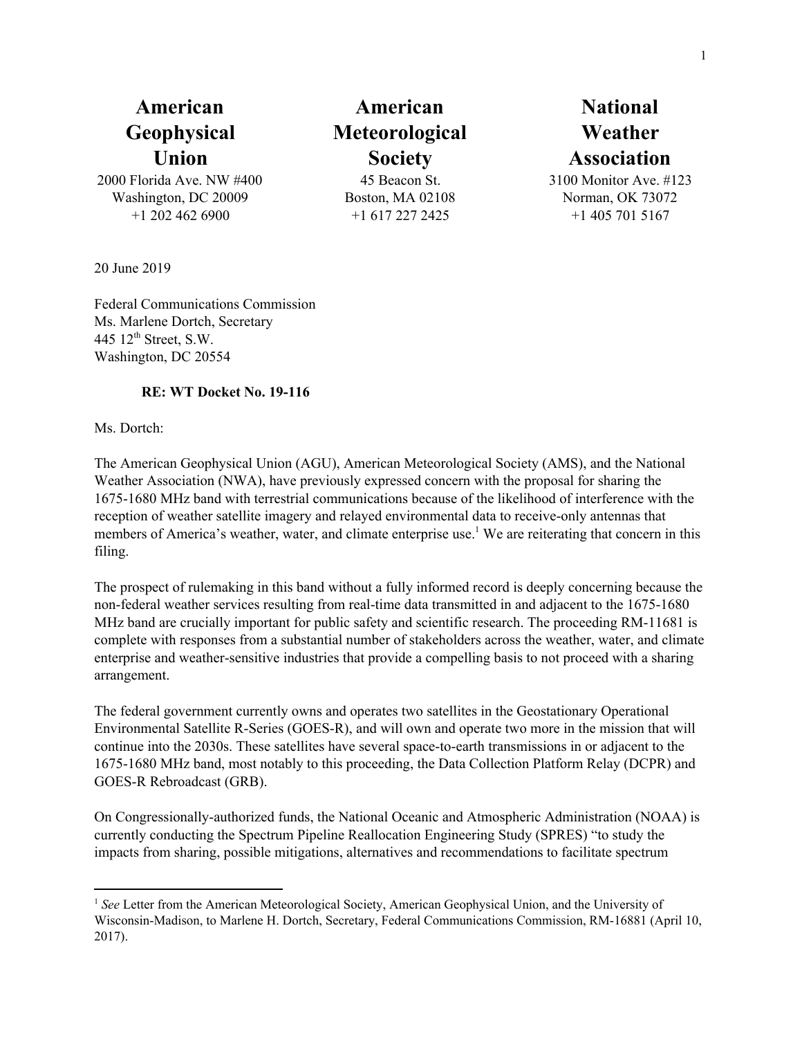2000 Florida Ave. NW #400 Washington, DC 20009 +1 202 462 6900

**American Meteorological Society** 45 Beacon St.

Boston, MA 02108 +1 617 227 2425

## **National Weather Association**

3100 Monitor Ave. #123 Norman, OK 73072 +1 405 701 5167

20 June 2019

Federal Communications Commission Ms. Marlene Dortch, Secretary 445  $12<sup>th</sup>$  Street, S.W. Washington, DC 20554

## **RE: WT Docket No. 19-116**

Ms. Dortch:

The American Geophysical Union (AGU), American Meteorological Society (AMS), and the National Weather Association (NWA), have previously expressed concern with the proposal for sharing the 1675-1680 MHz band with terrestrial communications because of the likelihood of interference with the reception of weather satellite imagery and relayed environmental data to receive-only antennas that members of America's weather, water, and climate enterprise use.<sup>1</sup> We are reiterating that concern in this filing.

The prospect of rulemaking in this band without a fully informed record is deeply concerning because the non-federal weather services resulting from real-time data transmitted in and adjacent to the 1675-1680 MHz band are crucially important for public safety and scientific research. The proceeding RM-11681 is complete with responses from a substantial number of stakeholders across the weather, water, and climate enterprise and weather-sensitive industries that provide a compelling basis to not proceed with a sharing arrangement.

The federal government currently owns and operates two satellites in the Geostationary Operational Environmental Satellite R-Series (GOES-R), and will own and operate two more in the mission that will continue into the 2030s. These satellites have several space-to-earth transmissions in or adjacent to the 1675-1680 MHz band, most notably to this proceeding, the Data Collection Platform Relay (DCPR) and GOES-R Rebroadcast (GRB).

On Congressionally-authorized funds, the National Oceanic and Atmospheric Administration (NOAA) is currently conducting the Spectrum Pipeline Reallocation Engineering Study (SPRES) "to study the impacts from sharing, possible mitigations, alternatives and recommendations to facilitate spectrum

<sup>&</sup>lt;sup>1</sup> See Letter from the American Meteorological Society, American Geophysical Union, and the University of Wisconsin-Madison, to Marlene H. Dortch, Secretary, Federal Communications Commission, RM-16881 (April 10, 2017).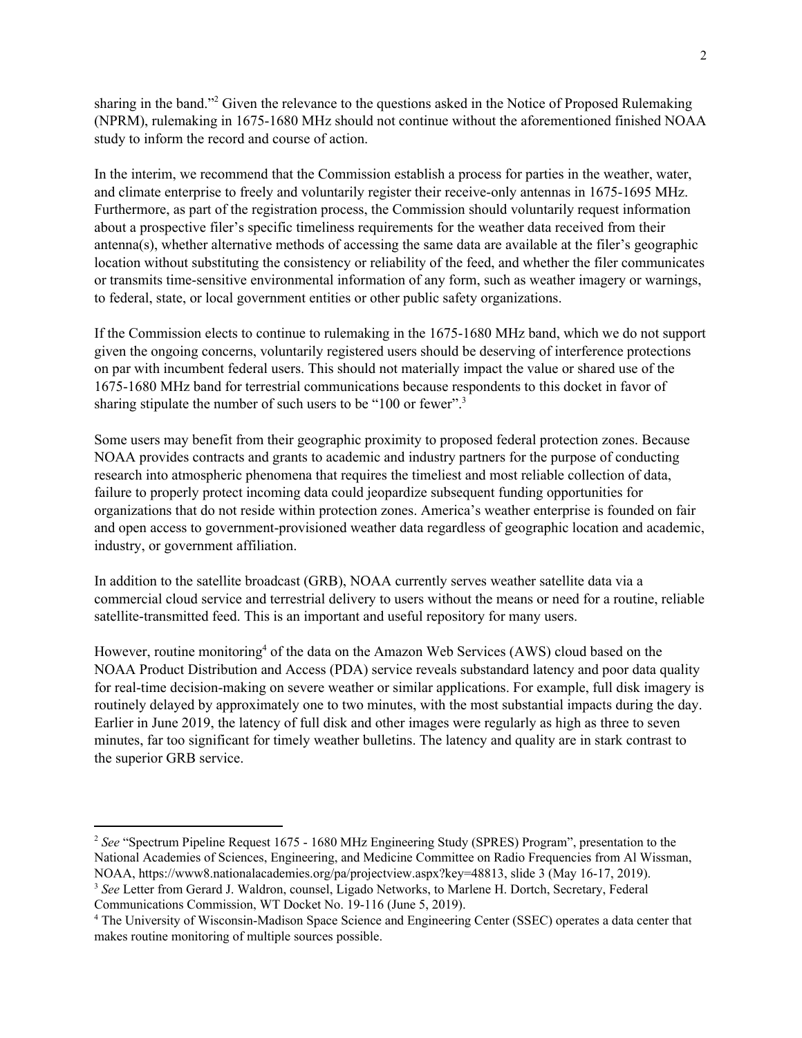sharing in the band."<sup>2</sup> Given the relevance to the questions asked in the Notice of Proposed Rulemaking (NPRM), rulemaking in 1675-1680 MHz should not continue without the aforementioned finished NOAA study to inform the record and course of action.

In the interim, we recommend that the Commission establish a process for parties in the weather, water, and climate enterprise to freely and voluntarily register their receive-only antennas in 1675-1695 MHz. Furthermore, as part of the registration process, the Commission should voluntarily request information about a prospective filer's specific timeliness requirements for the weather data received from their antenna(s), whether alternative methods of accessing the same data are available at the filer's geographic location without substituting the consistency or reliability of the feed, and whether the filer communicates or transmits time-sensitive environmental information of any form, such as weather imagery or warnings, to federal, state, or local government entities or other public safety organizations.

If the Commission elects to continue to rulemaking in the 1675-1680 MHz band, which we do not support given the ongoing concerns, voluntarily registered users should be deserving of interference protections on par with incumbent federal users. This should not materially impact the value or shared use of the 1675-1680 MHz band for terrestrial communications because respondents to this docket in favor of sharing stipulate the number of such users to be "100 or fewer".<sup>3</sup>

Some users may benefit from their geographic proximity to proposed federal protection zones. Because NOAA provides contracts and grants to academic and industry partners for the purpose of conducting research into atmospheric phenomena that requires the timeliest and most reliable collection of data, failure to properly protect incoming data could jeopardize subsequent funding opportunities for organizations that do not reside within protection zones. America's weather enterprise is founded on fair and open access to government-provisioned weather data regardless of geographic location and academic, industry, or government affiliation.

In addition to the satellite broadcast (GRB), NOAA currently serves weather satellite data via a commercial cloud service and terrestrial delivery to users without the means or need for a routine, reliable satellite-transmitted feed. This is an important and useful repository for many users.

However, routine monitoring<sup>4</sup> of the data on the Amazon Web Services (AWS) cloud based on the NOAA Product Distribution and Access (PDA) service reveals substandard latency and poor data quality for real-time decision-making on severe weather or similar applications. For example, full disk imagery is routinely delayed by approximately one to two minutes, with the most substantial impacts during the day. Earlier in June 2019, the latency of full disk and other images were regularly as high as three to seven minutes, far too significant for timely weather bulletins. The latency and quality are in stark contrast to the superior GRB service.

<sup>&</sup>lt;sup>2</sup> See "Spectrum Pipeline Request 1675 - 1680 MHz Engineering Study (SPRES) Program", presentation to the National Academies of Sciences, Engineering, and Medicine Committee on Radio Frequencies from Al Wissman, NOAA, https://www8.nationalacademies.org/pa/projectview.aspx?key=48813, slide 3 (May 16-17, 2019).

<sup>3</sup> *See* Letter from Gerard J. Waldron, counsel, Ligado Networks, to Marlene H. Dortch, Secretary, Federal Communications Commission, WT Docket No. 19-116 (June 5, 2019).

<sup>4</sup> The University of Wisconsin-Madison Space Science and Engineering Center (SSEC) operates a data center that makes routine monitoring of multiple sources possible.